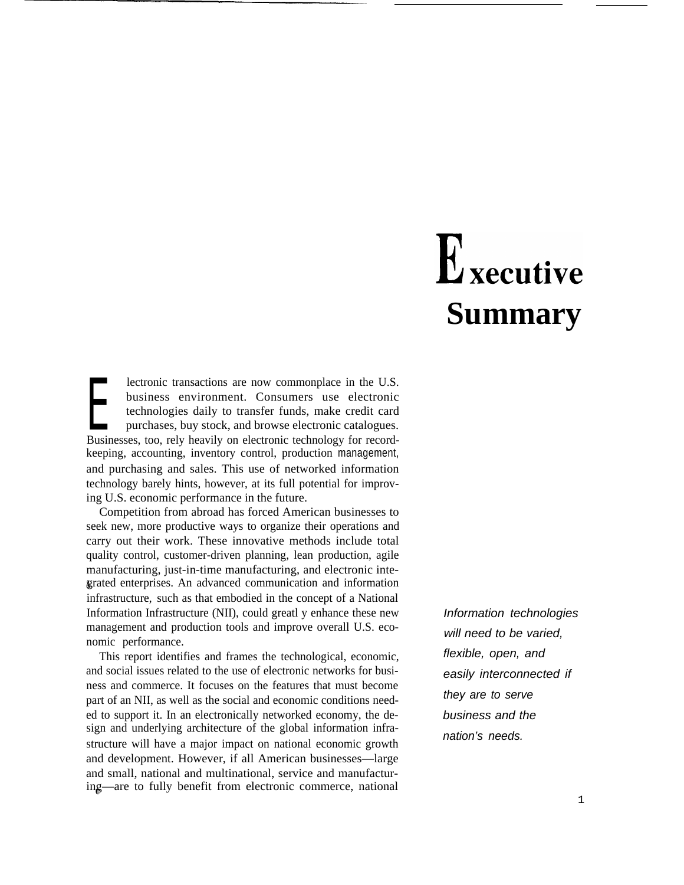# Executive **Summary**

**EXECUTE:** technologies daily to transfer funds, make credit card purchases, buy stock, and browse electronic catalogues.<br>Businesses, too, rely heavily on electronic technology for recordlectronic transactions are now commonplace in the U.S. business environment. Consumers use electronic technologies daily to transfer funds, make credit card purchases, buy stock, and browse electronic catalogues. keeping, accounting, inventory control, production management, and purchasing and sales. This use of networked information technology barely hints, however, at its full potential for improving U.S. economic performance in the future.

Competition from abroad has forced American businesses to seek new, more productive ways to organize their operations and carry out their work. These innovative methods include total quality control, customer-driven planning, lean production, agile manufacturing, just-in-time manufacturing, and electronic inte- &grated enterprises. An advanced communication and information infrastructure, such as that embodied in the concept of a National Information Infrastructure (NII), could greatl y enhance these new management and production tools and improve overall U.S. economic performance.

This report identifies and frames the technological, economic, and social issues related to the use of electronic networks for business and commerce. It focuses on the features that must become part of an NII, as well as the social and economic conditions needed to support it. In an electronically networked economy, the design and underlying architecture of the global information infrastructure will have a major impact on national economic growth and development. However, if all American businesses—large and small, national and multinational, service and manufacturing—are to fully benefit from electronic commerce, national

Information technologies will need to be varied, flexible, open, and easily interconnected if they are to serve business and the nation's needs.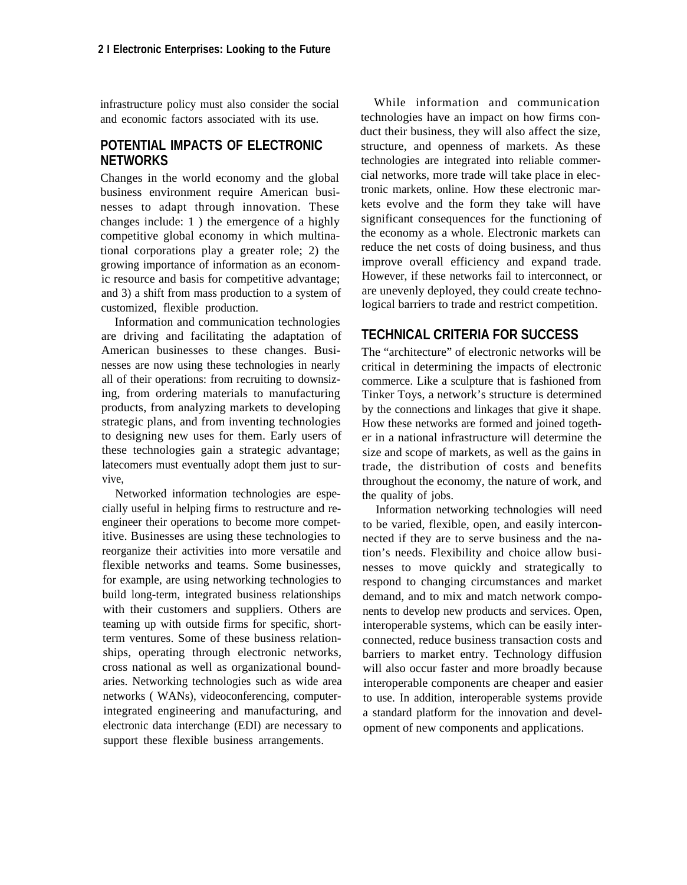infrastructure policy must also consider the social and economic factors associated with its use.

#### **POTENTIAL IMPACTS OF ELECTRONIC NETWORKS**

Changes in the world economy and the global business environment require American businesses to adapt through innovation. These changes include: 1 ) the emergence of a highly competitive global economy in which multinational corporations play a greater role; 2) the growing importance of information as an economic resource and basis for competitive advantage; and 3) a shift from mass production to a system of customized, flexible production.

Information and communication technologies are driving and facilitating the adaptation of American businesses to these changes. Businesses are now using these technologies in nearly all of their operations: from recruiting to downsizing, from ordering materials to manufacturing products, from analyzing markets to developing strategic plans, and from inventing technologies to designing new uses for them. Early users of these technologies gain a strategic advantage; latecomers must eventually adopt them just to survive,

Networked information technologies are especially useful in helping firms to restructure and reengineer their operations to become more competitive. Businesses are using these technologies to reorganize their activities into more versatile and flexible networks and teams. Some businesses, for example, are using networking technologies to build long-term, integrated business relationships with their customers and suppliers. Others are teaming up with outside firms for specific, shortterm ventures. Some of these business relationships, operating through electronic networks, cross national as well as organizational boundaries. Networking technologies such as wide area networks ( WANs), videoconferencing, computerintegrated engineering and manufacturing, and electronic data interchange (EDI) are necessary to support these flexible business arrangements.

While information and communication technologies have an impact on how firms conduct their business, they will also affect the size, structure, and openness of markets. As these technologies are integrated into reliable commercial networks, more trade will take place in electronic markets, online. How these electronic markets evolve and the form they take will have significant consequences for the functioning of the economy as a whole. Electronic markets can reduce the net costs of doing business, and thus improve overall efficiency and expand trade. However, if these networks fail to interconnect, or are unevenly deployed, they could create technological barriers to trade and restrict competition.

#### **TECHNICAL CRITERIA FOR SUCCESS**

The "architecture" of electronic networks will be critical in determining the impacts of electronic commerce. Like a sculpture that is fashioned from Tinker Toys, a network's structure is determined by the connections and linkages that give it shape. How these networks are formed and joined together in a national infrastructure will determine the size and scope of markets, as well as the gains in trade, the distribution of costs and benefits throughout the economy, the nature of work, and the quality of jobs.

Information networking technologies will need to be varied, flexible, open, and easily interconnected if they are to serve business and the nation's needs. Flexibility and choice allow businesses to move quickly and strategically to respond to changing circumstances and market demand, and to mix and match network components to develop new products and services. Open, interoperable systems, which can be easily interconnected, reduce business transaction costs and barriers to market entry. Technology diffusion will also occur faster and more broadly because interoperable components are cheaper and easier to use. In addition, interoperable systems provide a standard platform for the innovation and development of new components and applications.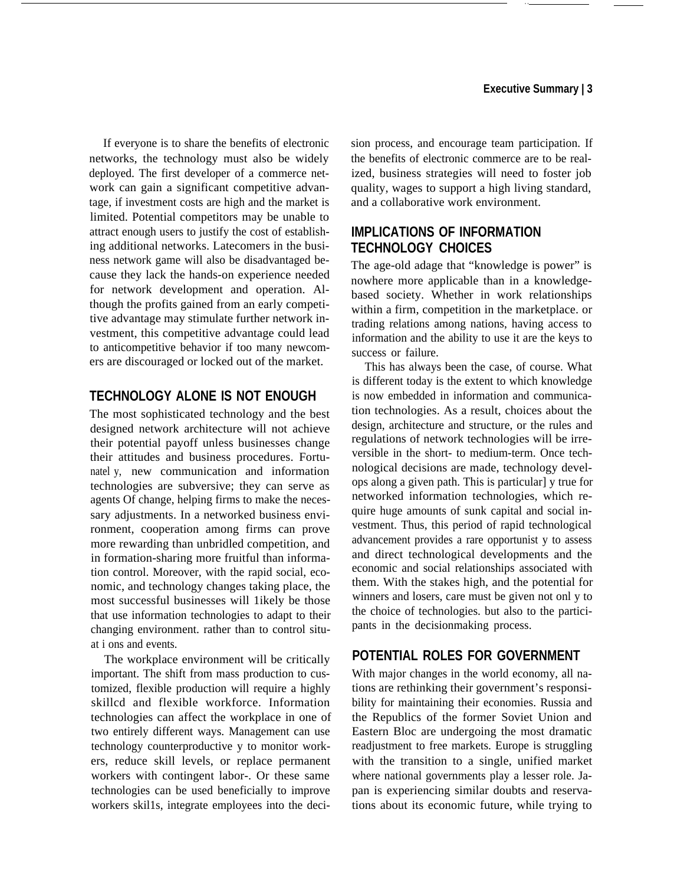If everyone is to share the benefits of electronic networks, the technology must also be widely deployed. The first developer of a commerce network can gain a significant competitive advantage, if investment costs are high and the market is limited. Potential competitors may be unable to attract enough users to justify the cost of establishing additional networks. Latecomers in the business network game will also be disadvantaged because they lack the hands-on experience needed for network development and operation. Although the profits gained from an early competitive advantage may stimulate further network investment, this competitive advantage could lead to anticompetitive behavior if too many newcomers are discouraged or locked out of the market.

## **TECHNOLOGY ALONE IS NOT ENOUGH**

The most sophisticated technology and the best designed network architecture will not achieve their potential payoff unless businesses change their attitudes and business procedures. Fortunatel y, new communication and information technologies are subversive; they can serve as agents Of change, helping firms to make the necessary adjustments. In a networked business environment, cooperation among firms can prove more rewarding than unbridled competition, and in formation-sharing more fruitful than information control. Moreover, with the rapid social, economic, and technology changes taking place, the most successful businesses will 1ikely be those that use information technologies to adapt to their changing environment. rather than to control situat i ons and events.

The workplace environment will be critically important. The shift from mass production to customized, flexible production will require a highly skillcd and flexible workforce. Information technologies can affect the workplace in one of two entirely different ways. Management can use technology counterproductive y to monitor workers, reduce skill levels, or replace permanent workers with contingent labor-. Or these same technologies can be used beneficially to improve workers skil1s, integrate employees into the decision process, and encourage team participation. If the benefits of electronic commerce are to be realized, business strategies will need to foster job quality, wages to support a high living standard, and a collaborative work environment.

## **IMPLICATIONS OF INFORMATION TECHNOLOGY CHOICES**

The age-old adage that "knowledge is power" is nowhere more applicable than in a knowledgebased society. Whether in work relationships within a firm, competition in the marketplace. or trading relations among nations, having access to information and the ability to use it are the keys to success or failure.

This has always been the case, of course. What is different today is the extent to which knowledge is now embedded in information and communication technologies. As a result, choices about the design, architecture and structure, or the rules and regulations of network technologies will be irreversible in the short- to medium-term. Once technological decisions are made, technology develops along a given path. This is particular] y true for networked information technologies, which require huge amounts of sunk capital and social investment. Thus, this period of rapid technological advancement provides a rare opportunist y to assess and direct technological developments and the economic and social relationships associated with them. With the stakes high, and the potential for winners and losers, care must be given not onl y to the choice of technologies. but also to the participants in the decisionmaking process.

## **POTENTIAL ROLES FOR GOVERNMENT**

With major changes in the world economy, all nations are rethinking their government's responsibility for maintaining their economies. Russia and the Republics of the former Soviet Union and Eastern Bloc are undergoing the most dramatic readjustment to free markets. Europe is struggling with the transition to a single, unified market where national governments play a lesser role. Japan is experiencing similar doubts and reservations about its economic future, while trying to